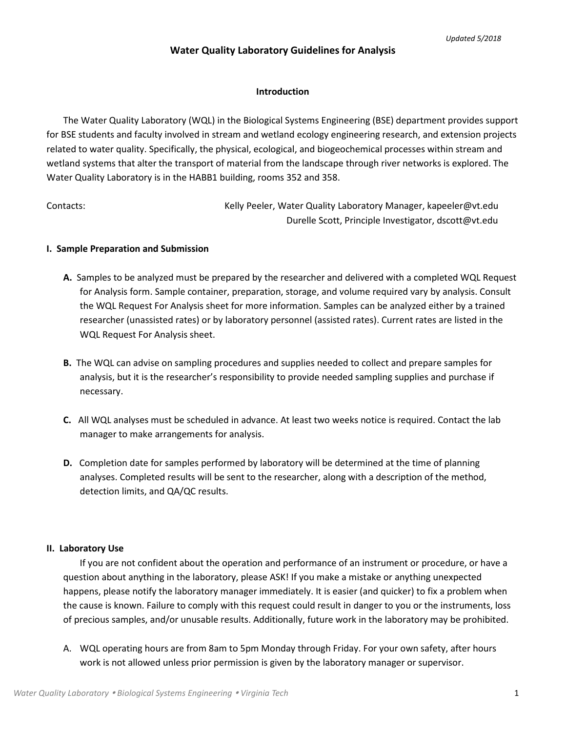## **Water Quality Laboratory Guidelines for Analysis**

## **Introduction**

The Water Quality Laboratory (WQL) in the Biological Systems Engineering (BSE) department provides support for BSE students and faculty involved in stream and wetland ecology engineering research, and extension projects related to water quality. Specifically, the physical, ecological, and biogeochemical processes within stream and wetland systems that alter the transport of material from the landscape through river networks is explored. The Water Quality Laboratory is in the HABB1 building, rooms 352 and 358.

Contacts: Kelly Peeler, Water Quality Laboratory Manager, kapeeler@vt.edu Durelle Scott, Principle Investigator, dscott@vt.edu

## **I. Sample Preparation and Submission**

- **A.** Samples to be analyzed must be prepared by the researcher and delivered with a completed WQL Request for Analysis form. Sample container, preparation, storage, and volume required vary by analysis. Consult the WQL Request For Analysis sheet for more information. Samples can be analyzed either by a trained researcher (unassisted rates) or by laboratory personnel (assisted rates). Current rates are listed in the WQL Request For Analysis sheet.
- **B.** The WQL can advise on sampling procedures and supplies needed to collect and prepare samples for analysis, but it is the researcher's responsibility to provide needed sampling supplies and purchase if necessary.
- **C.** All WQL analyses must be scheduled in advance. At least two weeks notice is required. Contact the lab manager to make arrangements for analysis.
- **D.** Completion date for samples performed by laboratory will be determined at the time of planning analyses. Completed results will be sent to the researcher, along with a description of the method, detection limits, and QA/QC results.

## **II. Laboratory Use**

If you are not confident about the operation and performance of an instrument or procedure, or have a question about anything in the laboratory, please ASK! If you make a mistake or anything unexpected happens, please notify the laboratory manager immediately. It is easier (and quicker) to fix a problem when the cause is known. Failure to comply with this request could result in danger to you or the instruments, loss of precious samples, and/or unusable results. Additionally, future work in the laboratory may be prohibited.

A. WQL operating hours are from 8am to 5pm Monday through Friday. For your own safety, after hours work is not allowed unless prior permission is given by the laboratory manager or supervisor.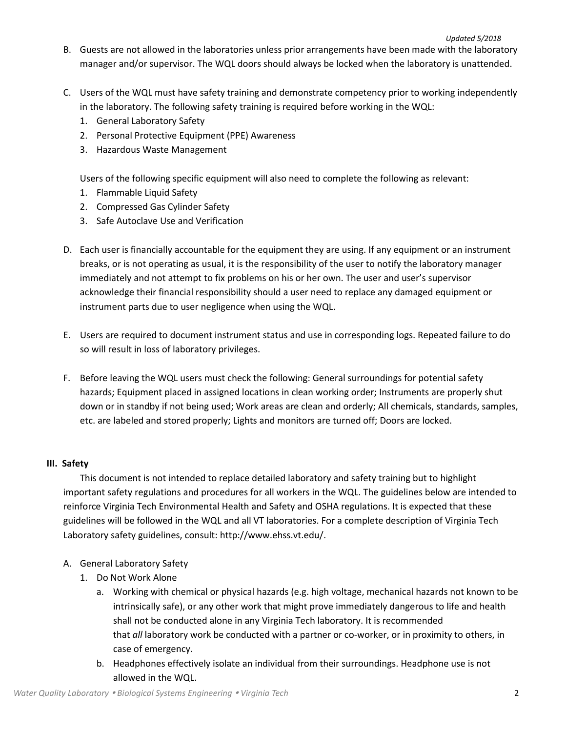- B. Guests are not allowed in the laboratories unless prior arrangements have been made with the laboratory manager and/or supervisor. The WQL doors should always be locked when the laboratory is unattended.
- C. Users of the WQL must have safety training and demonstrate competency prior to working independently in the laboratory. The following safety training is required before working in the WQL:
	- 1. General Laboratory Safety
	- 2. Personal Protective Equipment (PPE) Awareness
	- 3. Hazardous Waste Management

Users of the following specific equipment will also need to complete the following as relevant:

- 1. Flammable Liquid Safety
- 2. Compressed Gas Cylinder Safety
- 3. Safe Autoclave Use and Verification
- D. Each user is financially accountable for the equipment they are using. If any equipment or an instrument breaks, or is not operating as usual, it is the responsibility of the user to notify the laboratory manager immediately and not attempt to fix problems on his or her own. The user and user's supervisor acknowledge their financial responsibility should a user need to replace any damaged equipment or instrument parts due to user negligence when using the WQL.
- E. Users are required to document instrument status and use in corresponding logs. Repeated failure to do so will result in loss of laboratory privileges.
- F. Before leaving the WQL users must check the following: General surroundings for potential safety hazards; Equipment placed in assigned locations in clean working order; Instruments are properly shut down or in standby if not being used; Work areas are clean and orderly; All chemicals, standards, samples, etc. are labeled and stored properly; Lights and monitors are turned off; Doors are locked.

# **III. Safety**

This document is not intended to replace detailed laboratory and safety training but to highlight important safety regulations and procedures for all workers in the WQL. The guidelines below are intended to reinforce Virginia Tech Environmental Health and Safety and OSHA regulations. It is expected that these guidelines will be followed in the WQL and all VT laboratories. For a complete description of Virginia Tech Laboratory safety guidelines, consult: http://www.ehss.vt.edu/.

- A. General Laboratory Safety
	- 1. Do Not Work Alone
		- a. Working with chemical or physical hazards (e.g. high voltage, mechanical hazards not known to be intrinsically safe), or any other work that might prove immediately dangerous to life and health shall not be conducted alone in any Virginia Tech laboratory. It is recommended that *all* laboratory work be conducted with a partner or co-worker, or in proximity to others, in case of emergency.
		- b. Headphones effectively isolate an individual from their surroundings. Headphone use is not allowed in the WQL.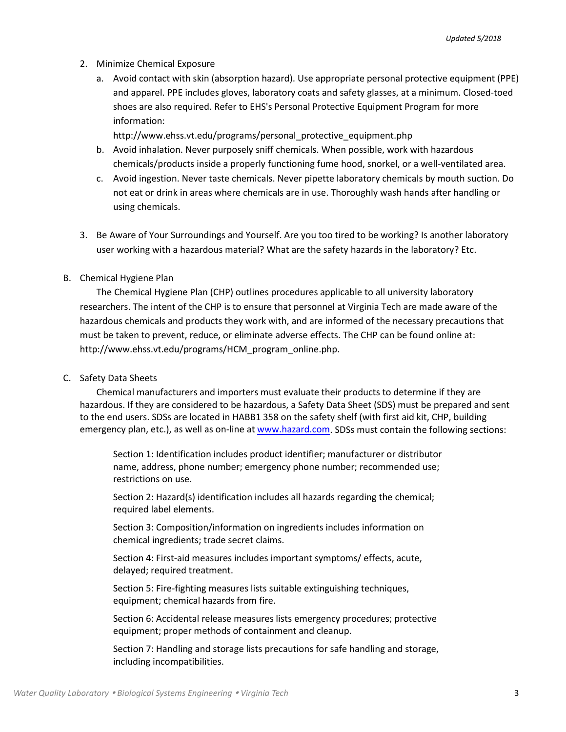- 2. Minimize Chemical Exposure
	- a. Avoid contact with skin (absorption hazard). Use appropriate personal protective equipment (PPE) and apparel. PPE includes gloves, laboratory coats and safety glasses, at a minimum. Closed-toed shoes are also required. Refer to EHS's Personal Protective Equipment Program for more information:

http://www.ehss.vt.edu/programs/personal\_protective\_equipment.php

- b. Avoid inhalation. Never purposely sniff chemicals. When possible, work with hazardous chemicals/products inside a properly functioning fume hood, snorkel, or a well-ventilated area.
- c. Avoid ingestion. Never taste chemicals. Never pipette laboratory chemicals by mouth suction. Do not eat or drink in areas where chemicals are in use. Thoroughly wash hands after handling or using chemicals.
- 3. Be Aware of Your Surroundings and Yourself. Are you too tired to be working? Is another laboratory user working with a hazardous material? What are the safety hazards in the laboratory? Etc.
- B. Chemical Hygiene Plan

The Chemical Hygiene Plan (CHP) outlines procedures applicable to all university laboratory researchers. The intent of the CHP is to ensure that personnel at Virginia Tech are made aware of the hazardous chemicals and products they work with, and are informed of the necessary precautions that must be taken to prevent, reduce, or eliminate adverse effects. The CHP can be found online at: http://www.ehss.vt.edu/programs/HCM\_program\_online.php.

C. Safety Data Sheets

Chemical manufacturers and importers must evaluate their products to determine if they are hazardous. If they are considered to be hazardous, a Safety Data Sheet (SDS) must be prepared and sent to the end users. SDSs are located in HABB1 358 on the safety shelf (with first aid kit, CHP, building emergency plan, etc.), as well as on-line a[t www.hazard.com.](http://www.hazard.com/) SDSs must contain the following sections:

Section 1: Identification includes product identifier; manufacturer or distributor name, address, phone number; emergency phone number; recommended use; restrictions on use.

Section 2: Hazard(s) identification includes all hazards regarding the chemical; required label elements.

Section 3: Composition/information on ingredients includes information on chemical ingredients; trade secret claims.

Section 4: First-aid measures includes important symptoms/ effects, acute, delayed; required treatment.

Section 5: Fire-fighting measures lists suitable extinguishing techniques, equipment; chemical hazards from fire.

Section 6: Accidental release measures lists emergency procedures; protective equipment; proper methods of containment and cleanup.

Section 7: Handling and storage lists precautions for safe handling and storage, including incompatibilities.